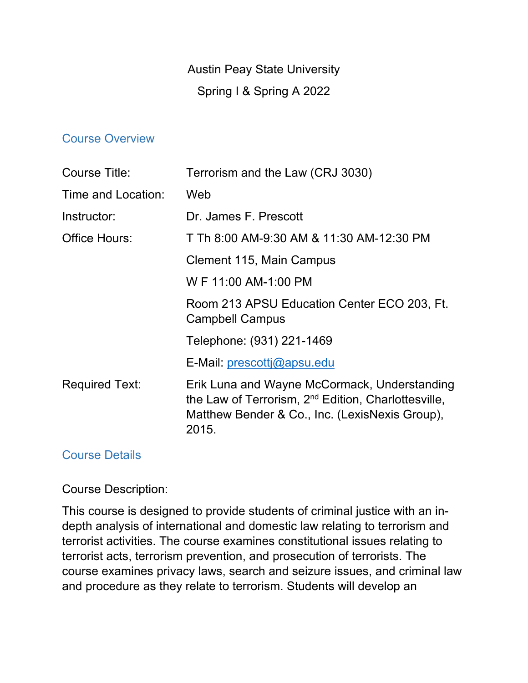# Austin Peay State University Spring I & Spring A 2022

#### Course Overview

| Course Title:         | Terrorism and the Law (CRJ 3030)                                                                                                                                           |
|-----------------------|----------------------------------------------------------------------------------------------------------------------------------------------------------------------------|
| Time and Location:    | Web                                                                                                                                                                        |
| Instructor:           | Dr. James F. Prescott                                                                                                                                                      |
| Office Hours:         | T Th 8:00 AM-9:30 AM & 11:30 AM-12:30 PM                                                                                                                                   |
|                       | Clement 115, Main Campus                                                                                                                                                   |
|                       | W F 11:00 AM-1:00 PM                                                                                                                                                       |
|                       | Room 213 APSU Education Center ECO 203, Ft.<br><b>Campbell Campus</b>                                                                                                      |
|                       | Telephone: (931) 221-1469                                                                                                                                                  |
|                       | E-Mail: prescotti@apsu.edu                                                                                                                                                 |
| <b>Required Text:</b> | Erik Luna and Wayne McCormack, Understanding<br>the Law of Terrorism, 2 <sup>nd</sup> Edition, Charlottesville,<br>Matthew Bender & Co., Inc. (LexisNexis Group),<br>2015. |

#### Course Details

Course Description:

This course is designed to provide students of criminal justice with an indepth analysis of international and domestic law relating to terrorism and terrorist activities. The course examines constitutional issues relating to terrorist acts, terrorism prevention, and prosecution of terrorists. The course examines privacy laws, search and seizure issues, and criminal law and procedure as they relate to terrorism. Students will develop an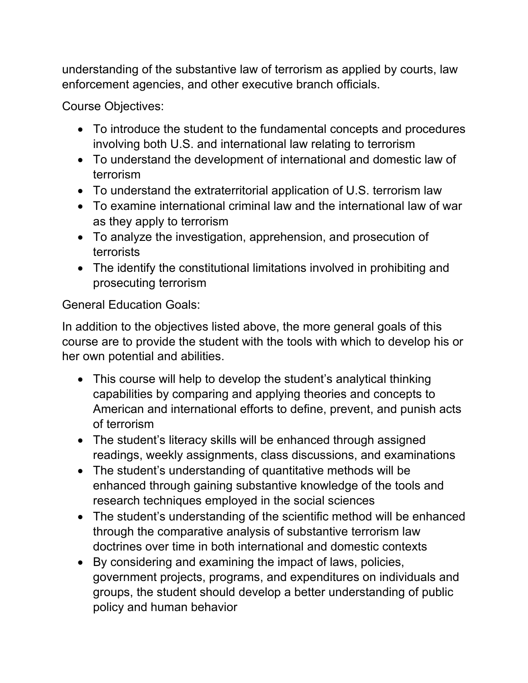understanding of the substantive law of terrorism as applied by courts, law enforcement agencies, and other executive branch officials.

Course Objectives:

- To introduce the student to the fundamental concepts and procedures involving both U.S. and international law relating to terrorism
- To understand the development of international and domestic law of terrorism
- To understand the extraterritorial application of U.S. terrorism law
- To examine international criminal law and the international law of war as they apply to terrorism
- To analyze the investigation, apprehension, and prosecution of terrorists
- The identify the constitutional limitations involved in prohibiting and prosecuting terrorism

General Education Goals:

In addition to the objectives listed above, the more general goals of this course are to provide the student with the tools with which to develop his or her own potential and abilities.

- This course will help to develop the student's analytical thinking capabilities by comparing and applying theories and concepts to American and international efforts to define, prevent, and punish acts of terrorism
- The student's literacy skills will be enhanced through assigned readings, weekly assignments, class discussions, and examinations
- The student's understanding of quantitative methods will be enhanced through gaining substantive knowledge of the tools and research techniques employed in the social sciences
- The student's understanding of the scientific method will be enhanced through the comparative analysis of substantive terrorism law doctrines over time in both international and domestic contexts
- By considering and examining the impact of laws, policies, government projects, programs, and expenditures on individuals and groups, the student should develop a better understanding of public policy and human behavior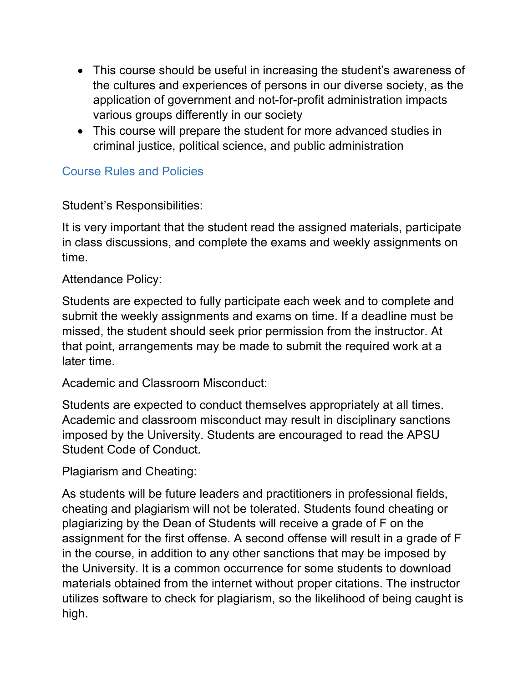- This course should be useful in increasing the student's awareness of the cultures and experiences of persons in our diverse society, as the application of government and not-for-profit administration impacts various groups differently in our society
- This course will prepare the student for more advanced studies in criminal justice, political science, and public administration

# Course Rules and Policies

Student's Responsibilities:

It is very important that the student read the assigned materials, participate in class discussions, and complete the exams and weekly assignments on time.

Attendance Policy:

Students are expected to fully participate each week and to complete and submit the weekly assignments and exams on time. If a deadline must be missed, the student should seek prior permission from the instructor. At that point, arrangements may be made to submit the required work at a later time.

Academic and Classroom Misconduct:

Students are expected to conduct themselves appropriately at all times. Academic and classroom misconduct may result in disciplinary sanctions imposed by the University. Students are encouraged to read the APSU Student Code of Conduct.

Plagiarism and Cheating:

As students will be future leaders and practitioners in professional fields, cheating and plagiarism will not be tolerated. Students found cheating or plagiarizing by the Dean of Students will receive a grade of F on the assignment for the first offense. A second offense will result in a grade of F in the course, in addition to any other sanctions that may be imposed by the University. It is a common occurrence for some students to download materials obtained from the internet without proper citations. The instructor utilizes software to check for plagiarism, so the likelihood of being caught is high.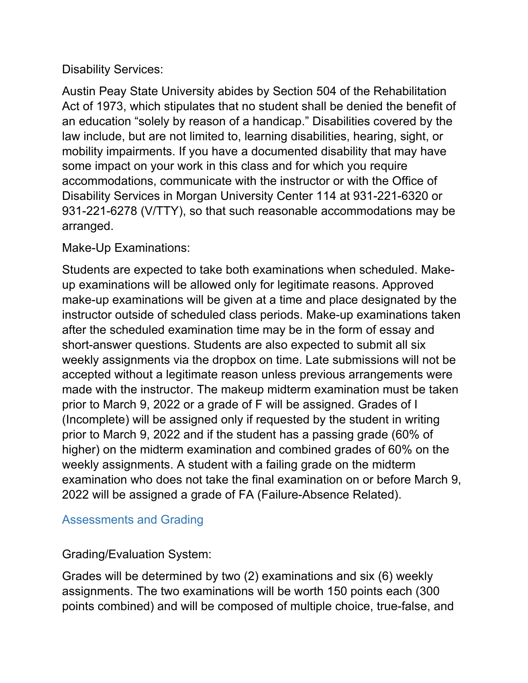## Disability Services:

Austin Peay State University abides by Section 504 of the Rehabilitation Act of 1973, which stipulates that no student shall be denied the benefit of an education "solely by reason of a handicap." Disabilities covered by the law include, but are not limited to, learning disabilities, hearing, sight, or mobility impairments. If you have a documented disability that may have some impact on your work in this class and for which you require accommodations, communicate with the instructor or with the Office of Disability Services in Morgan University Center 114 at 931-221-6320 or 931-221-6278 (V/TTY), so that such reasonable accommodations may be arranged.

Make-Up Examinations:

Students are expected to take both examinations when scheduled. Makeup examinations will be allowed only for legitimate reasons. Approved make-up examinations will be given at a time and place designated by the instructor outside of scheduled class periods. Make-up examinations taken after the scheduled examination time may be in the form of essay and short-answer questions. Students are also expected to submit all six weekly assignments via the dropbox on time. Late submissions will not be accepted without a legitimate reason unless previous arrangements were made with the instructor. The makeup midterm examination must be taken prior to March 9, 2022 or a grade of F will be assigned. Grades of I (Incomplete) will be assigned only if requested by the student in writing prior to March 9, 2022 and if the student has a passing grade (60% of higher) on the midterm examination and combined grades of 60% on the weekly assignments. A student with a failing grade on the midterm examination who does not take the final examination on or before March 9, 2022 will be assigned a grade of FA (Failure-Absence Related).

# Assessments and Grading

Grading/Evaluation System:

Grades will be determined by two (2) examinations and six (6) weekly assignments. The two examinations will be worth 150 points each (300 points combined) and will be composed of multiple choice, true-false, and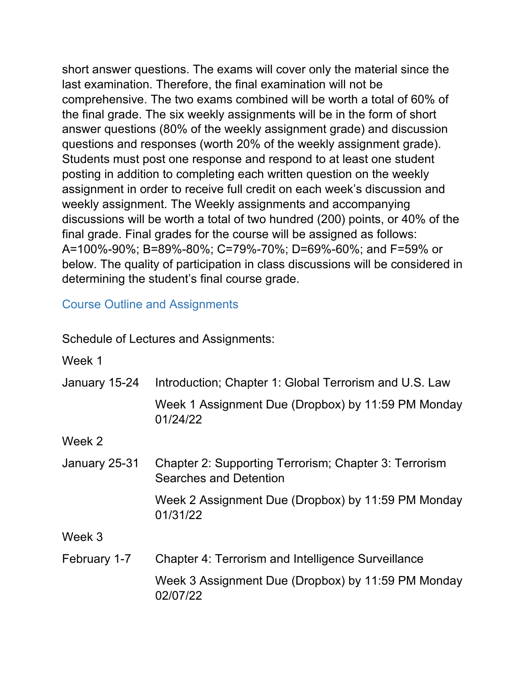short answer questions. The exams will cover only the material since the last examination. Therefore, the final examination will not be comprehensive. The two exams combined will be worth a total of 60% of the final grade. The six weekly assignments will be in the form of short answer questions (80% of the weekly assignment grade) and discussion questions and responses (worth 20% of the weekly assignment grade). Students must post one response and respond to at least one student posting in addition to completing each written question on the weekly assignment in order to receive full credit on each week's discussion and weekly assignment. The Weekly assignments and accompanying discussions will be worth a total of two hundred (200) points, or 40% of the final grade. Final grades for the course will be assigned as follows: A=100%-90%; B=89%-80%; C=79%-70%; D=69%-60%; and F=59% or below. The quality of participation in class discussions will be considered in determining the student's final course grade.

## Course Outline and Assignments

### Schedule of Lectures and Assignments:

Week 1

| January 15-24 | Introduction; Chapter 1: Global Terrorism and U.S. Law<br>Week 1 Assignment Due (Dropbox) by 11:59 PM Monday<br>01/24/22 |
|---------------|--------------------------------------------------------------------------------------------------------------------------|
| Week 2        |                                                                                                                          |
| January 25-31 | Chapter 2: Supporting Terrorism; Chapter 3: Terrorism<br>Searches and Detention                                          |
|               | Week 2 Assignment Due (Dropbox) by 11:59 PM Monday<br>01/31/22                                                           |
| Week 3        |                                                                                                                          |
| February 1-7  | <b>Chapter 4: Terrorism and Intelligence Surveillance</b>                                                                |
|               | Week 3 Assignment Due (Dropbox) by 11:59 PM Monday<br>02/07/22                                                           |